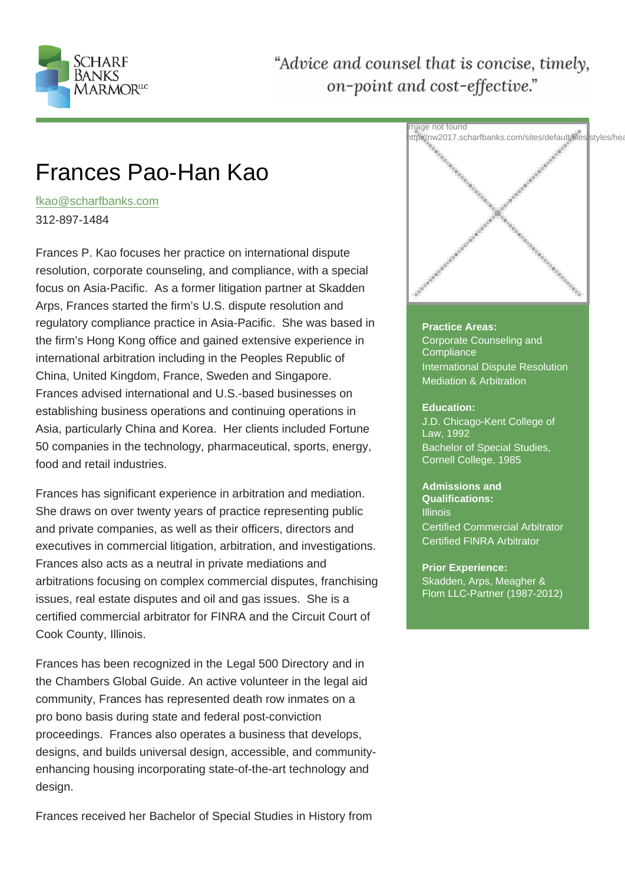# Frances Pao-Han Kao

fkao@scharfbanks.com

312-897-1484

[Frances P. Kao focuses](mailto:fkao@scharfbanks.com) her practice on international dispute resolution, corporate counseling, and compliance, with a special focus on Asia-Pacific. As a former litigation partner at Skadden Arps, Frances started the firm's U.S. dispute resolution and regulatory compliance practice in Asia-Pacific. She was based in the firm's Hong Kong office and gained extensive experience in international arbitration including in the Peoples Republic of China, United Kingdom, France, Sweden and Singapore. Frances advised international and U.S.-based businesses on establishing business operations and continuing operations in Asia, particularly China and Korea. Her clients included Fortune 50 companies in the technology, pharmaceutical, sports, energy, food and retail industries.

Frances has significant experience in arbitration and mediation. She draws on over twenty years of practice representing public and private companies, as well as their officers, directors and executives in commercial litigation, arbitration, and investigations. Frances also acts as a neutral in private mediations and arbitrations focusing on complex commercial disputes, franchising issues, real estate disputes and oil and gas issues. She is a certified commercial arbitrator for FINRA and the Circuit Court of Cook County, Illinois.

Frances has been recognized in the Legal 500 Directory and in the Chambers Global Guide. An active volunteer in the legal aid community, Frances has represented death row inmates on a pro bono basis during state and federal post-conviction proceedings. Frances also operates a business that develops, designs, and builds universal design, accessible, and communityenhancing housing incorporating state-of-the-art technology and design.

Frances received her Bachelor of Special Studies in History from

#### Practice Areas: Corporate Counseling and **Compliance**

International Dispute Resolution Mediation & Arbitration

#### Education:

J.D. Chicago-Kent College of Law, 1992 Bachelor of Special Studies, Cornell College, 1985

Admissions and Qualifications: **Illinois** Certified Commercial Arbitrator Certified FINRA Arbitrator

Prior Experience: Skadden, Arps, Meagher & Flom LLC-Partner (1987-2012)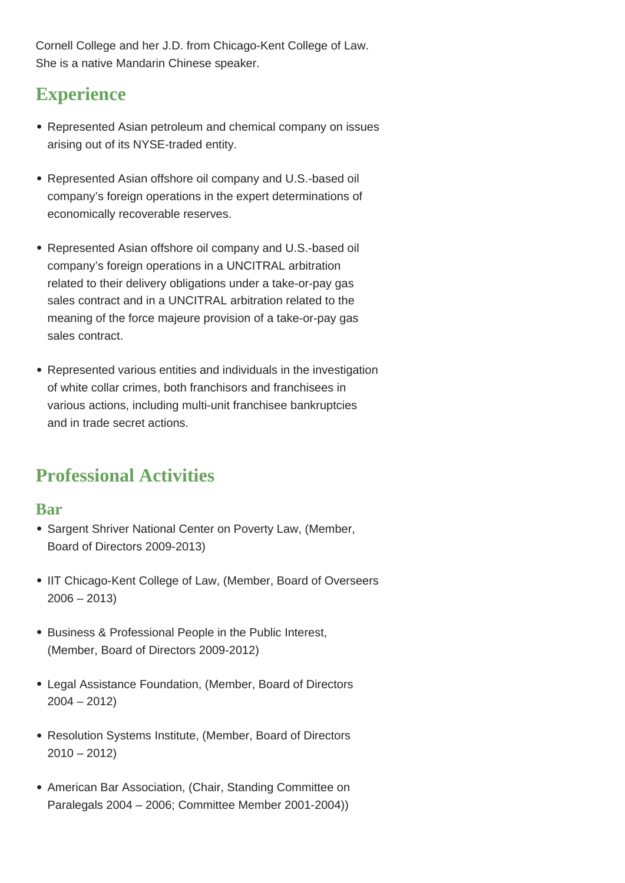Cornell College and her J.D. from Chicago-Kent College of Law. She is a native Mandarin Chinese speaker.

## **Experience**

- Represented Asian petroleum and chemical company on issues arising out of its NYSE-traded entity.
- Represented Asian offshore oil company and U.S.-based oil company's foreign operations in the expert determinations of economically recoverable reserves.
- Represented Asian offshore oil company and U.S.-based oil company's foreign operations in a UNCITRAL arbitration related to their delivery obligations under a take-or-pay gas sales contract and in a UNCITRAL arbitration related to the meaning of the force majeure provision of a take-or-pay gas sales contract.
- Represented various entities and individuals in the investigation of white collar crimes, both franchisors and franchisees in various actions, including multi-unit franchisee bankruptcies and in trade secret actions.

## **Professional Activities**

### **Bar**

- Sargent Shriver National Center on Poverty Law, (Member, Board of Directors 2009-2013)
- IIT Chicago-Kent College of Law, (Member, Board of Overseers  $2006 - 2013$
- Business & Professional People in the Public Interest, (Member, Board of Directors 2009-2012)
- Legal Assistance Foundation, (Member, Board of Directors 2004 – 2012)
- Resolution Systems Institute, (Member, Board of Directors  $2010 - 2012$
- American Bar Association, (Chair, Standing Committee on Paralegals 2004 – 2006; Committee Member 2001-2004))